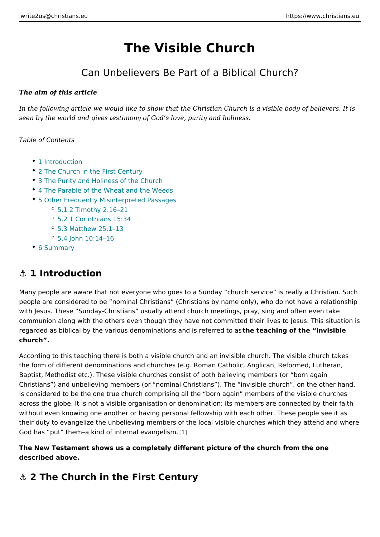# The Visible Church

### Can Unbelievers Be Part of a Biblical Churc

The aim of this article

In the following article we would like to show that the Christian Church is a visi seen by the world and gives testimony of God s love, purity and holiness.

Table of Contents

- 1 Introduction
- 2 The Church in the First Century
- [3 The Purity and Holiness o](#page-2-0)f the Church
- [4 The Parable of the Wheat an](#page-4-0)d the Weeds
- [5 Other Frequently Misinterpre](#page-5-0)ted Passages
	- 5.1 2 Timothy 2:16 21
	- [5.2 1 Corinthian](#page-6-0)s 15:34
	- 5.3 Matthew 25:1 13
	- 5.4 John 10:14 16
- [6 Summa](#page-8-0)ry

#### &" 1 Introduction

Many people are aware that not everyone who goes to a Sunday church service people are considered to be nominal Christians (Christians by name only), who with Jesus. These Sunday-Christians usually attend church meetings, pray, sin communion along with the others even though they have not committed their live regarded as biblical by the various denominations tanned teache inegred the as nvisible church .

According to this teaching there is both a visible church and an invisible church the form of different denominations and churches (e.g. Roman Catholic, Anglicar Baptist, Methodist etc.). These visible churches consist of both believing membe Christians ) and unbelieving members (or nominal Christians ). The invisible ch is considered to be the one true church comprising all the born again members across the globe. It is not a visible organisation or denomination; its members a without even knowing one another or having personal fellowship with each other. their duty to evangelize the unbelieving members of the local visible churches w God has put them a kind of interna $[1]$ evangelism.

The New Testament shows us a completely different picture of the church from th described above.

#### &" 2 The Church in the First Century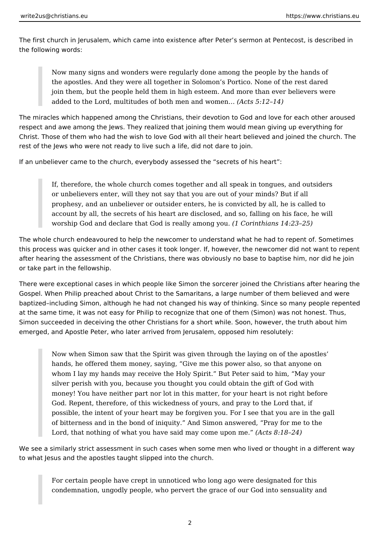The first church in Jerusalem, which came into existence after Peter's sermon at Pentecost, is described in the following words:

Now many signs and wonders were regularly done among the people by the hands of the apostles. And they were all together in Solomon's Portico. None of the rest dared join them, but the people held them in high esteem. And more than ever believers were added to the Lord, multitudes of both men and women… *(Acts 5:12–14)*

The miracles which happened among the Christians, their devotion to God and love for each other aroused respect and awe among the Jews. They realized that joining them would mean giving up everything for Christ. Those of them who had the wish to love God with all their heart believed and joined the church. The rest of the Jews who were not ready to live such a life, did not dare to join.

If an unbeliever came to the church, everybody assessed the "secrets of his heart":

If, therefore, the whole church comes together and all speak in tongues, and outsiders or unbelievers enter, will they not say that you are out of your minds? But if all prophesy, and an unbeliever or outsider enters, he is convicted by all, he is called to account by all, the secrets of his heart are disclosed, and so, falling on his face, he will worship God and declare that God is really among you. *(1 Corinthians 14:23–25)* 

The whole church endeavoured to help the newcomer to understand what he had to repent of. Sometimes this process was quicker and in other cases it took longer. If, however, the newcomer did not want to repent after hearing the assessment of the Christians, there was obviously no base to baptise him, nor did he join or take part in the fellowship.

There were exceptional cases in which people like Simon the sorcerer joined the Christians after hearing the Gospel. When Philip preached about Christ to the Samaritans, a large number of them believed and were baptized–including Simon, although he had not changed his way of thinking. Since so many people repented at the same time, it was not easy for Philip to recognize that one of them (Simon) was not honest. Thus, Simon succeeded in deceiving the other Christians for a short while. Soon, however, the truth about him emerged, and Apostle Peter, who later arrived from Jerusalem, opposed him resolutely:

Now when Simon saw that the Spirit was given through the laying on of the apostles' hands, he offered them money, saying, "Give me this power also, so that anyone on whom I lay my hands may receive the Holy Spirit." But Peter said to him, "May your silver perish with you, because you thought you could obtain the gift of God with money! You have neither part nor lot in this matter, for your heart is not right before God. Repent, therefore, of this wickedness of yours, and pray to the Lord that, if possible, the intent of your heart may be forgiven you. For I see that you are in the gall of bitterness and in the bond of iniquity." And Simon answered, "Pray for me to the Lord, that nothing of what you have said may come upon me." *(Acts 8:18–24)*

We see a similarly strict assessment in such cases when some men who lived or thought in a different way to what Jesus and the apostles taught slipped into the church.

For certain people have crept in unnoticed who long ago were designated for this condemnation, ungodly people, who pervert the grace of our God into sensuality and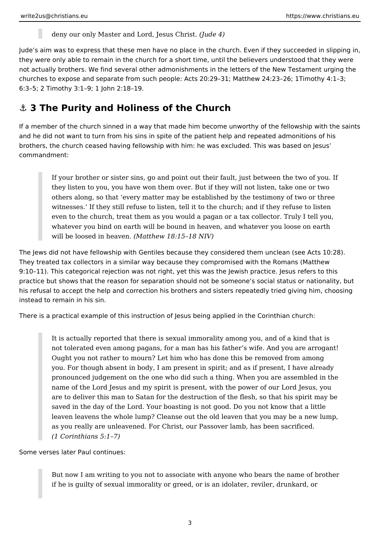deny our only Master and Lord, Jesus Christ. *(Jude 4)*

<span id="page-2-0"></span>Jude's aim was to express that these men have no place in the church. Even if they succeeded in slipping in, they were only able to remain in the church for a short time, until the believers understood that they were not actually brothers. We find several other admonishments in the letters of the New Testament urging the churches to expose and separate from such people: Acts 20:29–31; Matthew 24:23–26; 1Timothy 4:1–3; 6:3–5; 2 Timothy 3:1–9; 1 John 2:18–19.

# **⚓ 3 The Purity and Holiness of the Church**

If a member of the church sinned in a way that made him become unworthy of the fellowship with the saints and he did not want to turn from his sins in spite of the patient help and repeated admonitions of his brothers, the church ceased having fellowship with him: he was excluded. This was based on Jesus' commandment:

If your brother or sister sins, go and point out their fault, just between the two of you. If they listen to you, you have won them over. But if they will not listen, take one or two others along, so that 'every matter may be established by the testimony of two or three witnesses.' If they still refuse to listen, tell it to the church; and if they refuse to listen even to the church, treat them as you would a pagan or a tax collector. Truly I tell you, whatever you bind on earth will be bound in heaven, and whatever you loose on earth will be loosed in heaven. *(Matthew 18:15–18 NIV)*

The Jews did not have fellowship with Gentiles because they considered them unclean (see Acts 10:28). They treated tax collectors in a similar way because they compromised with the Romans (Matthew 9:10–11). This categorical rejection was not right, yet this was the Jewish practice. Jesus refers to this practice but shows that the reason for separation should not be someone's social status or nationality, but his refusal to accept the help and correction his brothers and sisters repeatedly tried giving him, choosing instead to remain in his sin.

There is a practical example of this instruction of Jesus being applied in the Corinthian church:

It is actually reported that there is sexual immorality among you, and of a kind that is not tolerated even among pagans, for a man has his father's wife. And you are arrogant! Ought you not rather to mourn? Let him who has done this be removed from among you. For though absent in body, I am present in spirit; and as if present, I have already pronounced judgement on the one who did such a thing. When you are assembled in the name of the Lord Jesus and my spirit is present, with the power of our Lord Jesus, you are to deliver this man to Satan for the destruction of the flesh, so that his spirit may be saved in the day of the Lord. Your boasting is not good. Do you not know that a little leaven leavens the whole lump? Cleanse out the old leaven that you may be a new lump, as you really are unleavened. For Christ, our Passover lamb, has been sacrificed. *(1 Corinthians 5:1–7)*

Some verses later Paul continues:

But now I am writing to you not to associate with anyone who bears the name of brother if he is guilty of sexual immorality or greed, or is an idolater, reviler, drunkard, or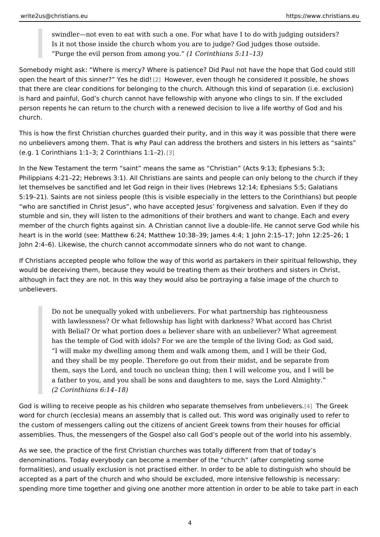swindler not even to eat with such a one. For what have I to do with jud Is it not those inside the church whom you are to judge? God judges tho Purge the evil person from amb  $\alpha$  constantians  $5:11$  13)

Somebody might ask: Where is mercy? Where is patience? Did Paul not have the open the heart of this sinner?  $\mathbb{Z}Y$  thow we voting! even though he considered it possible that there are clear conditions for belonging to the church. Although this kind of is hard and painful, God s church cannot have fellowship with anyone who clings person repents he can return to the church with a renewed decision to live a life church.

This is how the first Christian churches guarded their purity, and in this way it v no unbelievers among them. That is why Paul can address the brothers and siste  $(e.g. 1$  Cori[nth](#page-9-0)ians 1:1 3; 2 Corin $\beta$ hians 1:1 2).

In the New Testament the term saint means the same as Christian (Acts 9:13; Philippians 4:21 22; Hebrews 3:1). All Christians are saints and people can only let themselves be sanctified and let God reign in their lives (Hebrews 12:14; Epl 5:19 21). Saints are not sinless people (this is visible especially in the letters t who are sanctified in Christ Jesus, who have accepted Jesus forgiveness and stumble and sin, they will listen to the admonitions of their brothers and want to member of the church fights against sin. A Christian cannot live a double-life. H heart is in the world (see: Matthew  $6:24$ ; Matthew  $10:38$  39; James  $4:4$ ; 1 John 2 John 2:4 6). Likewise, the church cannot accommodate sinners who do not want t

If Christians accepted people who follow the way of this world as partakers in th would be deceiving them, because they would be treating them as their brothers although in fact they are not. In this way they would also be portraying a false i unbelievers.

Do not be unequally yoked with unbelievers. For what partnership has right with lawlessness? Or what fellowship has light with darkness? What acc with Belial? Or what portion does a believer share with an unbeliever? ' has the temple of God with idols? For we are the temple of the living Go I will make my dwelling among them and walk among them, and I will be and they shall be my people. Therefore go out from their midst, and be them, says the Lord, and touch no unclean thing; then I will welcome yo a father to you, and you shall be sons and daughters to me, says the Lo (2 Corinthians 6:14 18)

God is willing to receive people as his children who separate t[hem](#page-9-0) soleholoGsreeken un word for church (ecclesia) means an assembly that is called out. This word was the custom of messengers calling out the citizens of ancient Greek towns from th assemblies. Thus, the messengers of the Gospel also call God s people out of th

As we see, the practice of the first Christian churches was totally different from denominations. Today everybody can become a member of the church (after con formalities), and usually exclusion is not practised either. In order to be able to accepted as a part of the church and who should be excluded, more intensive fel spending more time together and giving one another more attention in order to b

4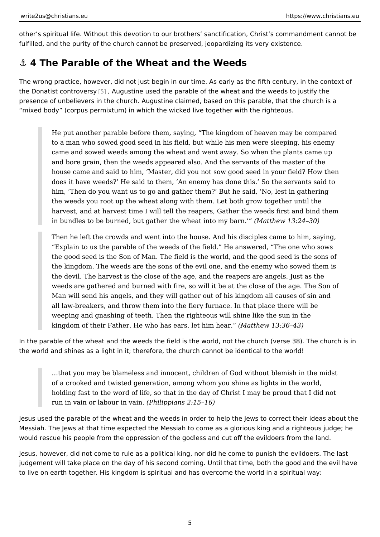<span id="page-4-0"></span>other s spiritual life. Without this devotion to our brothers sanctification, Chris fulfilled, and the purity of the church cannot be preserved, jeopardizing its very

#### &" 4 The Parable of the Wheat and the Weeds

The wrong practice, however, did not just begin in our time. As early as the fifth the Donatist controw, e Asuygustine used the parable of the wheat and the weeds to presence of unbelievers in the church. Augustine claimed, based on this parable mixed body (corpus permixtum) in which the wicked live together with the right

He put another parable before them, saying, The kingdom of heaven ma to a man who sowed good seed in his field, but while his men were slee came and sowed weeds among the wheat and went away. So when the pl and bore grain, then the weeds appeared also. And the servants of the house came and said to him, Master, did you not sow good seed in you does it have weeds? He said to them, An enemy has done this. So the him, Then do you want us to go and gather them? But he said, No, lest the weeds you root up the wheat along with them. Let both grow togethe harvest, and at harvest time I will tell the reapers, Gather the weeds fiin bundles to be burned, but gather the whea(tMianttto enwy 1b3a:  $r2n4$  30)

Then he left the crowds and went into the house. And his disciples came Explain to us the parable of the weeds of the field. He answered, The the good seed is the Son of Man. The field is the world, and the good s the kingdom. The weeds are the sons of the evil one, and the enemy wh the devil. The harvest is the close of the age, and the reapers are ange weeds are gathered and burned with fire, so will it be at the close of th Man will send his angels, and they will gather out of his kingdom all ca all law-breakers, and throw them into the fiery furnace. In that place th weeping and gnashing of teeth. Then the righteous will shine like the su kingdom of their Father. He who has ears (Matthew  $M$ 8a36 43)

In the parable of the wheat and the weeds the field is the world, not the church the world and shines as a light in it; therefore, the church cannot be identical to

&that you may be blameless and innocent, children of God without blemi of a crooked and twisted generation, among whom you shine as lights in holding fast to the word of life, so that in the day of Christ I may be pr run in vain or labour (i $R$ hiva ppians 2:15 16)

Jesus used the parable of the wheat and the weeds in order to help the Jews to Messiah. The Jews at that time expected the Messiah to come as a glorious king would rescue his people from the oppression of the godless and cut off the evild

Jesus, however, did not come to rule as a political king, nor did he come to puni judgement will take place on the day of his second coming. Until that time, both to live on earth together. His kingdom is spiritual and has overcome the world in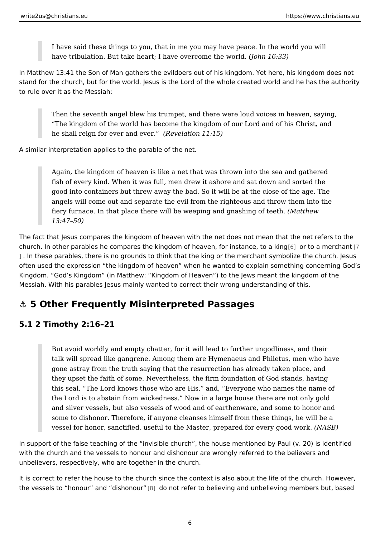<span id="page-5-0"></span>I have said these things to you, that in me you may have peace. In the have tribulation. But take heart; I have over to me the as world.

In Matthew 13:41 the Son of Man gathers the evildoers out of his kingdom. Yet h stand for the church, but for the world. Jesus is the Lord of the whole created w to rule over it as the Messiah:

Then the seventh angel blew his trumpet, and there were loud voices in The kingdom of the world has become the kingdom of our Lord and of h he shall reign for ever and  $\blacksquare$  eeved ation 11:15)

A similar interpretation applies to the parable of the net.

Again, the kingdom of heaven is like a net that was thrown into the sea fish of every kind. When it was full, men drew it ashore and sat down and good into containers but threw away the bad. So it will be at the close angels will come out and separate the evil from the righteous and throw fiery furnace. In that place there will be weeping an(dMgtatheehwing of teeth 13:47 50)

The fact that Jesus compares the kingdom of heaven with the net does not mean church. In other parables he compares the kingdom of heave 6, for to satamecr[e, t](#page-9-0)han ta 1. In these parables, there is no grounds to think that the king or the merchant s often used the expression the kingdom of heaven when he wanted to explain so Kingdom. God s Kingdom (in Matthew: Kingdom of Heaven) to the Jews meant Messiah. With his parables Jesus mainly wanted to correct their wrong understar

#### &" 5 Other Frequently Misinterpreted Passages

5.1 2 Timothy 2:16 21

But avoid worldly and empty chatter, for it will lead to further ungodline talk will spread like gangrene. Among them are Hymenaeus and Philetus gone astray from the truth saying that the resurrection has already take they upset the faith of some. Nevertheless, the firm foundation of God s this seal, The Lord knows those who are His, and, Everyone who name the Lord is to abstain from wickedness. Now in a large house there are and silver vessels, but also vessels of wood and of earthenware, and so some to dishonor. Therefore, if anyone cleanses himself from these thin vessel for honor, sanctified, useful to the Master, prepare NASB pvery go

In support of the false teaching of the invisible church, the house mentioned b with the church and the vessels to honour and dishonour are wrongly referred to unbelievers, respectively, who are together in the church.

It is correct to refer the house to the church since the context is also about the the vessels to honour and  $\phi$  solonomoutrrefer to believing and unbelieving member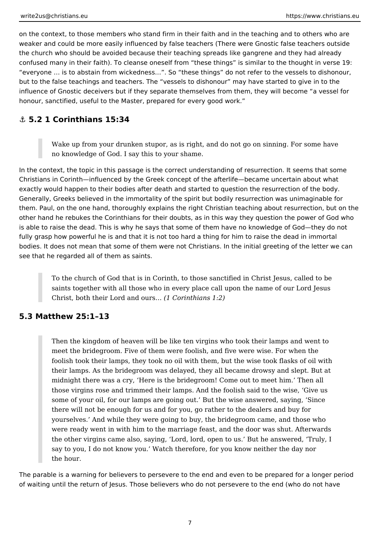<span id="page-6-0"></span>on the context, to those members who stand firm in their faith and in the teaching and to others who are weaker and could be more easily influenced by false teachers (There were Gnostic false teachers outside the church who should be avoided because their teaching spreads like gangrene and they had already confused many in their faith). To cleanse oneself from "these things" is similar to the thought in verse 19: "everyone … is to abstain from wickedness…". So "these things" do not refer to the vessels to dishonour, but to the false teachings and teachers. The "vessels to dishonour" may have started to give in to the influence of Gnostic deceivers but if they separate themselves from them, they will become "a vessel for honour, sanctified, useful to the Master, prepared for every good work."

### **⚓ 5.2 1 Corinthians 15:34**

Wake up from your drunken stupor, as is right, and do not go on sinning. For some have no knowledge of God. I say this to your shame.

In the context, the topic in this passage is the correct understanding of resurrection. It seems that some Christians in Corinth—influenced by the Greek concept of the afterlife—became uncertain about what exactly would happen to their bodies after death and started to question the resurrection of the body. Generally, Greeks believed in the immortality of the spirit but bodily resurrection was unimaginable for them. Paul, on the one hand, thoroughly explains the right Christian teaching about resurrection, but on the other hand he rebukes the Corinthians for their doubts, as in this way they question the power of God who is able to raise the dead. This is why he says that some of them have no knowledge of God—they do not fully grasp how powerful he is and that it is not too hard a thing for him to raise the dead in immortal bodies. It does not mean that some of them were not Christians. In the initial greeting of the letter we can see that he regarded all of them as saints.

To the church of God that is in Corinth, to those sanctified in Christ Jesus, called to be saints together with all those who in every place call upon the name of our Lord Jesus Christ, both their Lord and ours… *(1 Corinthians 1:2)*

#### **5.3 Matthew 25:1–13**

Then the kingdom of heaven will be like ten virgins who took their lamps and went to meet the bridegroom. Five of them were foolish, and five were wise. For when the foolish took their lamps, they took no oil with them, but the wise took flasks of oil with their lamps. As the bridegroom was delayed, they all became drowsy and slept. But at midnight there was a cry, 'Here is the bridegroom! Come out to meet him.' Then all those virgins rose and trimmed their lamps. And the foolish said to the wise, 'Give us some of your oil, for our lamps are going out.' But the wise answered, saying, 'Since there will not be enough for us and for you, go rather to the dealers and buy for yourselves.' And while they were going to buy, the bridegroom came, and those who were ready went in with him to the marriage feast, and the door was shut. Afterwards the other virgins came also, saying, 'Lord, lord, open to us.' But he answered, 'Truly, I say to you, I do not know you.' Watch therefore, for you know neither the day nor the hour.

The parable is a warning for believers to persevere to the end and even to be prepared for a longer period of waiting until the return of Jesus. Those believers who do not persevere to the end (who do not have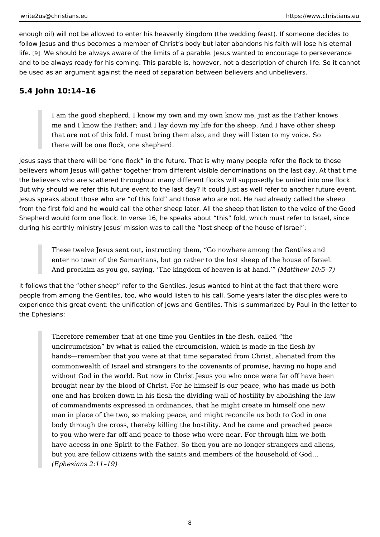enough oil) will not be allowed to enter his heavenly kingdom (the wedding feast follow Jesus and thus becomes a member of Christ s body but later abandons his life  $9$ ] We should be always aware of the limits of a parable. Jesus wanted to enc and to be always ready for his coming. This parable is, however, not a description be used as an argument against the need of separation between believers and ur

#### 5.4 John 10:14 16

I am the good shepherd. I know my own and my own know me, just as th me and I know the Father; and I lay down my life for the sheep. And I h that are not of this fold. I must bring them also, and they will listen to there will be one flock, one shepherd.

Jesus says that there will be one flock in the future. That is why many people believers whom Jesus will gather together from different visible denominations o the believers who are scattered throughout many different flocks will supposedly But why should we refer this future event to the last day? It could just as well re Jesus speaks about those who are of this fold and those who are not. He had a from the first fold and he would call the other sheep later. All the sheep that lis Shepherd would form one flock. In verse 16, he speaks about this fold, which n during his earthly ministry Jesus mission was to call the lost sheep of the hous

These twelve Jesus sent out, instructing them, Go nowhere among the enter no town of the Samaritans, but go rather to the lost sheep of the And proclaim as you go, saying, The kingdom of  $h$ e and the instant and its and  $d$ .

It follows that the other sheep refer to the Gentiles. Jesus wanted to hint at th people from among the Gentiles, too, who would listen to his call. Some years la experience this great event: the unification of Jews and Gentiles. This is summa the Ephesians:

Therefore remember that at one time you Gentiles in the flesh, called t uncircumcision by what is called the circumcision, which is made in the hands remember that you were at that time separated from Christ, alien commonwealth of Israel and strangers to the covenants of promise, having without God in the world. But now in Christ Jesus you who once were fa brought near by the blood of  $Christ.$  For he himself is our peace, who has one and has broken down in his flesh the dividing wall of hostility by at of commandments expressed in ordinances, that he might create in hims man in place of the two, so making peace, and might reconcile us both to body through the cross, thereby killing the hostility. And he came and p to you who were far off and peace to those who were near. For through have access in one Spirit to the Father. So then you are no longer strar but you are fellow citizens with the saints and members of the househol (Ephesians 2:11 19)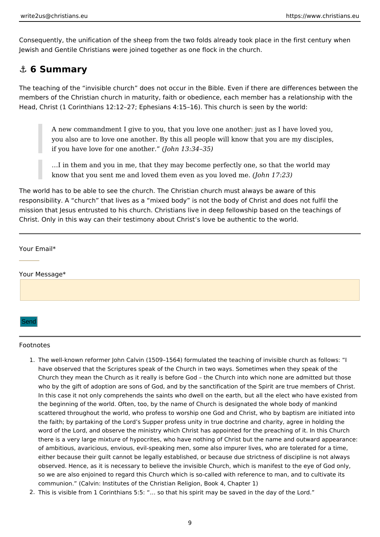<span id="page-8-0"></span>Consequently, the unification of the sheep from the two folds already took place in the first century when Jewish and Gentile Christians were joined together as one flock in the church.

## **⚓ 6 Summary**

The teaching of the "invisible church" does not occur in the Bible. Even if there are differences between the members of the Christian church in maturity, faith or obedience, each member has a relationship with the Head, Christ (1 Corinthians 12:12–27; Ephesians 4:15–16). This church is seen by the world:

A new commandment I give to you, that you love one another: just as I have loved you, you also are to love one another. By this all people will know that you are my disciples, if you have love for one another." *(John 13:34–35)*

…I in them and you in me, that they may become perfectly one, so that the world may know that you sent me and loved them even as you loved me. *(John 17:23)*

The world has to be able to see the church. The Christian church must always be aware of this responsibility. A "church" that lives as a "mixed body" is not the body of Christ and does not fulfil the mission that Jesus entrusted to his church. Christians live in deep fellowship based on the teachings of Christ. Only in this way can their testimony about Christ's love be authentic to the world.

| Your Email*   |  |  |
|---------------|--|--|
| Your Message* |  |  |
|               |  |  |
|               |  |  |
| Send          |  |  |

#### Footnotes

- 1. The well-known reformer John Calvin (1509–1564) formulated the teaching of invisible church as follows: "I have observed that the Scriptures speak of the Church in two ways. Sometimes when they speak of the Church they mean the Church as it really is before God – the Church into which none are admitted but those who by the gift of adoption are sons of God, and by the sanctification of the Spirit are true members of Christ. In this case it not only comprehends the saints who dwell on the earth, but all the elect who have existed from the beginning of the world. Often, too, by the name of Church is designated the whole body of mankind scattered throughout the world, who profess to worship one God and Christ, who by baptism are initiated into the faith; by partaking of the Lord's Supper profess unity in true doctrine and charity, agree in holding the word of the Lord, and observe the ministry which Christ has appointed for the preaching of it. In this Church there is a very large mixture of hypocrites, who have nothing of Christ but the name and outward appearance: of ambitious, avaricious, envious, evil-speaking men, some also impurer lives, who are tolerated for a time, either because their guilt cannot be legally established, or because due strictness of discipline is not always observed. Hence, as it is necessary to believe the invisible Church, which is manifest to the eye of God only, so we are also enjoined to regard this Church which is so-called with reference to man, and to cultivate its communion." (Calvin: Institutes of the Christian Religion, Book 4, Chapter 1)
- 2. This is visible from 1 Corinthians 5:5: "… so that his spirit may be saved in the day of the Lord."